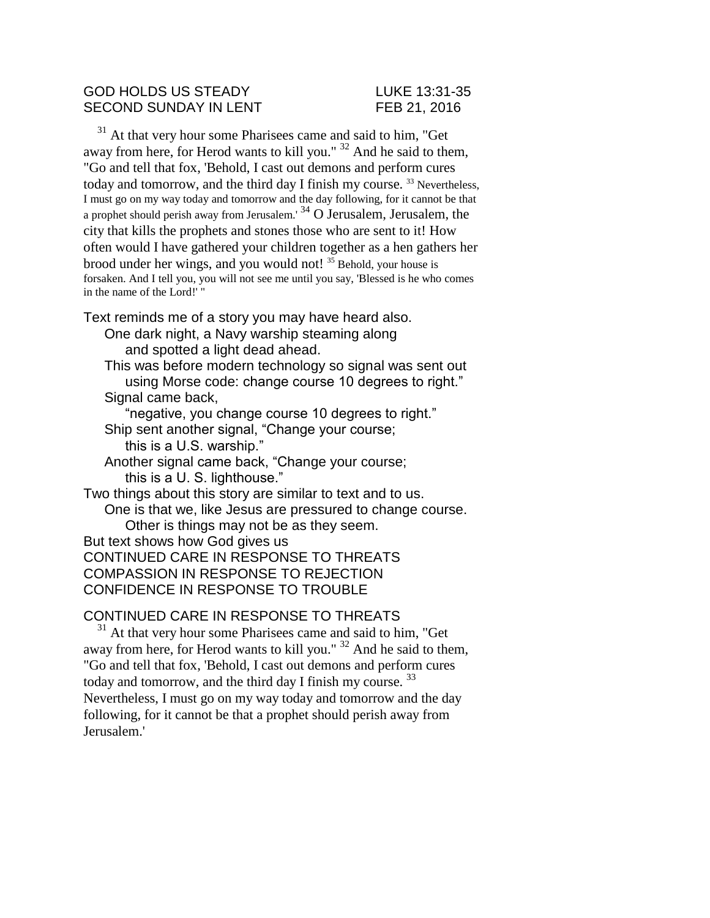#### GOD HOLDS US STEADY LUKE 13:31-35 SECOND SUNDAY IN LENT FEB 21, 2016

<sup>31</sup> At that very hour some Pharisees came and said to him, "Get away from here, for Herod wants to kill you." <sup>32</sup> And he said to them, "Go and tell that fox, 'Behold, I cast out demons and perform cures today and tomorrow, and the third day I finish my course.<sup>33</sup> Nevertheless, I must go on my way today and tomorrow and the day following, for it cannot be that a prophet should perish away from Jerusalem.' <sup>34</sup> O Jerusalem, Jerusalem, the city that kills the prophets and stones those who are sent to it! How often would I have gathered your children together as a hen gathers her brood under her wings, and you would not! <sup>35</sup> Behold, your house is forsaken. And I tell you, you will not see me until you say, 'Blessed is he who comes in the name of the Lord!' "

Text reminds me of a story you may have heard also.

One dark night, a Navy warship steaming along and spotted a light dead ahead.

This was before modern technology so signal was sent out using Morse code: change course 10 degrees to right." Signal came back.

"negative, you change course 10 degrees to right." Ship sent another signal, "Change your course; this is a U.S. warship."

Another signal came back, "Change your course; this is a U. S. lighthouse."

Two things about this story are similar to text and to us. One is that we, like Jesus are pressured to change course. Other is things may not be as they seem. But text shows how God gives us

CONTINUED CARE IN RESPONSE TO THREATS COMPASSION IN RESPONSE TO REJECTION CONFIDENCE IN RESPONSE TO TROUBLE

# CONTINUED CARE IN RESPONSE TO THREATS

<sup>31</sup> At that very hour some Pharisees came and said to him, "Get away from here, for Herod wants to kill you."  $32$  And he said to them, "Go and tell that fox, 'Behold, I cast out demons and perform cures today and tomorrow, and the third day I finish my course.<sup>33</sup> Nevertheless, I must go on my way today and tomorrow and the day following, for it cannot be that a prophet should perish away from Jerusalem.'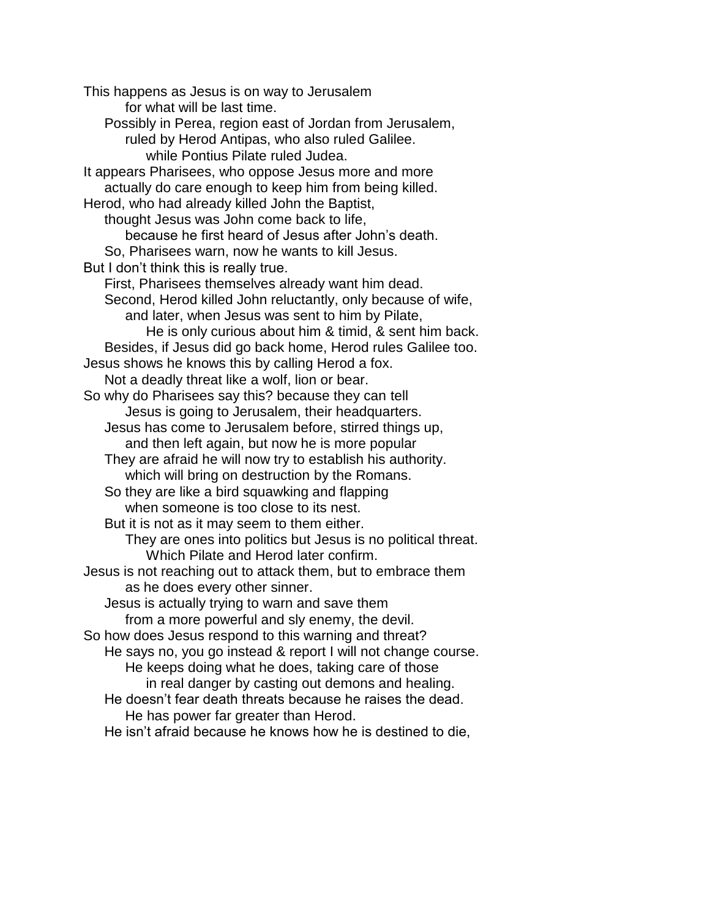This happens as Jesus is on way to Jerusalem for what will be last time. Possibly in Perea, region east of Jordan from Jerusalem, ruled by Herod Antipas, who also ruled Galilee. while Pontius Pilate ruled Judea. It appears Pharisees, who oppose Jesus more and more actually do care enough to keep him from being killed. Herod, who had already killed John the Baptist, thought Jesus was John come back to life, because he first heard of Jesus after John's death. So, Pharisees warn, now he wants to kill Jesus. But I don't think this is really true. First, Pharisees themselves already want him dead. Second, Herod killed John reluctantly, only because of wife, and later, when Jesus was sent to him by Pilate, He is only curious about him & timid, & sent him back. Besides, if Jesus did go back home, Herod rules Galilee too. Jesus shows he knows this by calling Herod a fox. Not a deadly threat like a wolf, lion or bear. So why do Pharisees say this? because they can tell Jesus is going to Jerusalem, their headquarters. Jesus has come to Jerusalem before, stirred things up, and then left again, but now he is more popular They are afraid he will now try to establish his authority. which will bring on destruction by the Romans. So they are like a bird squawking and flapping when someone is too close to its nest. But it is not as it may seem to them either. They are ones into politics but Jesus is no political threat. Which Pilate and Herod later confirm. Jesus is not reaching out to attack them, but to embrace them as he does every other sinner. Jesus is actually trying to warn and save them from a more powerful and sly enemy, the devil. So how does Jesus respond to this warning and threat? He says no, you go instead & report I will not change course. He keeps doing what he does, taking care of those in real danger by casting out demons and healing. He doesn't fear death threats because he raises the dead. He has power far greater than Herod. He isn't afraid because he knows how he is destined to die,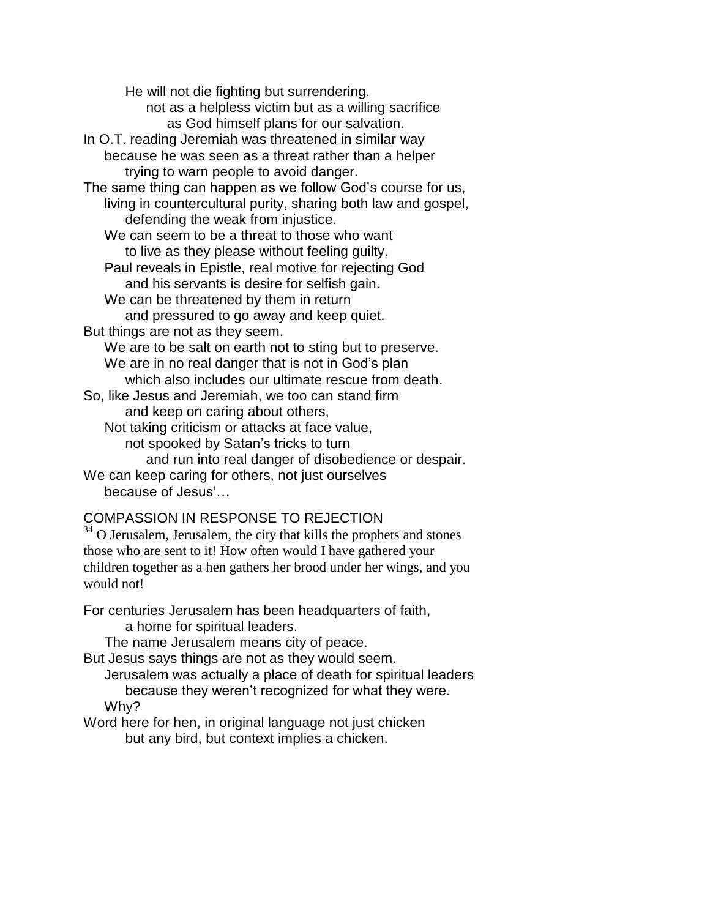He will not die fighting but surrendering. not as a helpless victim but as a willing sacrifice as God himself plans for our salvation. In O.T. reading Jeremiah was threatened in similar way because he was seen as a threat rather than a helper trying to warn people to avoid danger. The same thing can happen as we follow God's course for us, living in countercultural purity, sharing both law and gospel, defending the weak from injustice. We can seem to be a threat to those who want to live as they please without feeling guilty. Paul reveals in Epistle, real motive for rejecting God and his servants is desire for selfish gain. We can be threatened by them in return and pressured to go away and keep quiet. But things are not as they seem. We are to be salt on earth not to sting but to preserve. We are in no real danger that is not in God's plan which also includes our ultimate rescue from death. So, like Jesus and Jeremiah, we too can stand firm and keep on caring about others, Not taking criticism or attacks at face value, not spooked by Satan's tricks to turn and run into real danger of disobedience or despair. We can keep caring for others, not just ourselves because of Jesus'…

# COMPASSION IN RESPONSE TO REJECTION

<sup>34</sup> O Jerusalem, Jerusalem, the city that kills the prophets and stones those who are sent to it! How often would I have gathered your children together as a hen gathers her brood under her wings, and you would not!

For centuries Jerusalem has been headquarters of faith,

a home for spiritual leaders.

The name Jerusalem means city of peace.

But Jesus says things are not as they would seem.

Jerusalem was actually a place of death for spiritual leaders because they weren't recognized for what they were.

Why?

Word here for hen, in original language not just chicken but any bird, but context implies a chicken.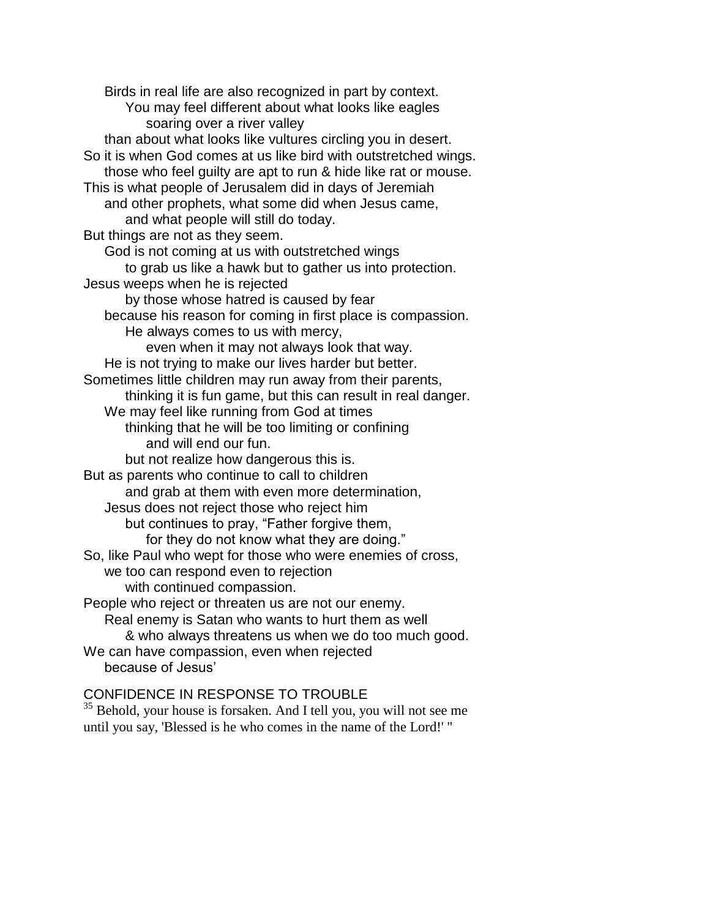Birds in real life are also recognized in part by context. You may feel different about what looks like eagles soaring over a river valley than about what looks like vultures circling you in desert. So it is when God comes at us like bird with outstretched wings. those who feel guilty are apt to run & hide like rat or mouse. This is what people of Jerusalem did in days of Jeremiah and other prophets, what some did when Jesus came, and what people will still do today. But things are not as they seem. God is not coming at us with outstretched wings to grab us like a hawk but to gather us into protection. Jesus weeps when he is rejected by those whose hatred is caused by fear because his reason for coming in first place is compassion. He always comes to us with mercy, even when it may not always look that way. He is not trying to make our lives harder but better. Sometimes little children may run away from their parents, thinking it is fun game, but this can result in real danger. We may feel like running from God at times thinking that he will be too limiting or confining and will end our fun. but not realize how dangerous this is. But as parents who continue to call to children and grab at them with even more determination, Jesus does not reject those who reject him but continues to pray, "Father forgive them, for they do not know what they are doing." So, like Paul who wept for those who were enemies of cross, we too can respond even to rejection with continued compassion. People who reject or threaten us are not our enemy. Real enemy is Satan who wants to hurt them as well & who always threatens us when we do too much good. We can have compassion, even when rejected because of Jesus'

### CONFIDENCE IN RESPONSE TO TROUBLE

<sup>35</sup> Behold, your house is forsaken. And I tell you, you will not see me until you say, 'Blessed is he who comes in the name of the Lord!' "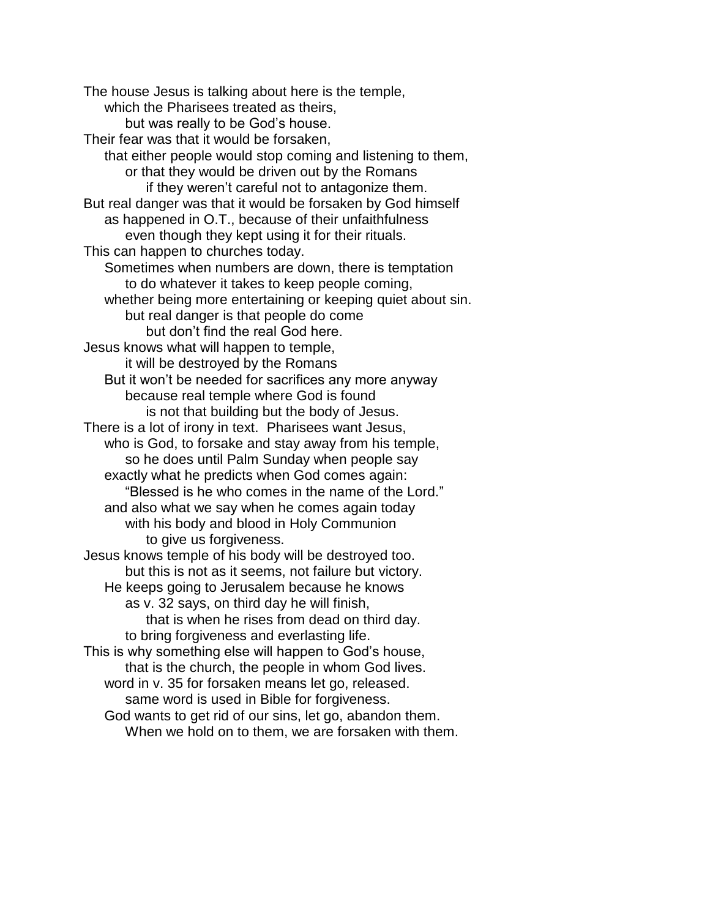The house Jesus is talking about here is the temple, which the Pharisees treated as theirs, but was really to be God's house. Their fear was that it would be forsaken, that either people would stop coming and listening to them, or that they would be driven out by the Romans if they weren't careful not to antagonize them. But real danger was that it would be forsaken by God himself as happened in O.T., because of their unfaithfulness even though they kept using it for their rituals. This can happen to churches today. Sometimes when numbers are down, there is temptation to do whatever it takes to keep people coming, whether being more entertaining or keeping quiet about sin. but real danger is that people do come but don't find the real God here. Jesus knows what will happen to temple, it will be destroyed by the Romans But it won't be needed for sacrifices any more anyway because real temple where God is found is not that building but the body of Jesus. There is a lot of irony in text. Pharisees want Jesus, who is God, to forsake and stay away from his temple, so he does until Palm Sunday when people say exactly what he predicts when God comes again: "Blessed is he who comes in the name of the Lord." and also what we say when he comes again today with his body and blood in Holy Communion to give us forgiveness. Jesus knows temple of his body will be destroyed too. but this is not as it seems, not failure but victory. He keeps going to Jerusalem because he knows as v. 32 says, on third day he will finish, that is when he rises from dead on third day. to bring forgiveness and everlasting life. This is why something else will happen to God's house, that is the church, the people in whom God lives. word in v. 35 for forsaken means let go, released. same word is used in Bible for forgiveness. God wants to get rid of our sins, let go, abandon them. When we hold on to them, we are forsaken with them.